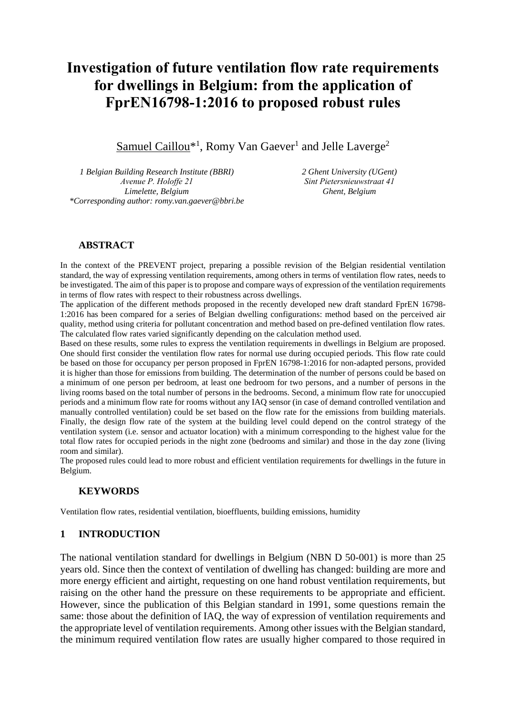# **Investigation of future ventilation flow rate requirements for dwellings in Belgium: from the application of FprEN16798-1:2016 to proposed robust rules**

Samuel Caillou<sup>\*1</sup>, Romy Van Gaever<sup>1</sup> and Jelle Laverge<sup>2</sup>

*1 Belgian Building Research Institute (BBRI) Avenue P. Holoffe 21 Limelette, Belgium \*Corresponding author: romy.van.gaever@bbri.be* *2 Ghent University (UGent) Sint Pietersnieuwstraat 41 Ghent, Belgium*

#### **ABSTRACT**

In the context of the PREVENT project, preparing a possible revision of the Belgian residential ventilation standard, the way of expressing ventilation requirements, among others in terms of ventilation flow rates, needs to be investigated. The aim of this paper is to propose and compare ways of expression of the ventilation requirements in terms of flow rates with respect to their robustness across dwellings.

The application of the different methods proposed in the recently developed new draft standard FprEN 16798- 1:2016 has been compared for a series of Belgian dwelling configurations: method based on the perceived air quality, method using criteria for pollutant concentration and method based on pre-defined ventilation flow rates. The calculated flow rates varied significantly depending on the calculation method used.

Based on these results, some rules to express the ventilation requirements in dwellings in Belgium are proposed. One should first consider the ventilation flow rates for normal use during occupied periods. This flow rate could be based on those for occupancy per person proposed in FprEN 16798-1:2016 for non-adapted persons, provided it is higher than those for emissions from building. The determination of the number of persons could be based on a minimum of one person per bedroom, at least one bedroom for two persons, and a number of persons in the living rooms based on the total number of persons in the bedrooms. Second, a minimum flow rate for unoccupied periods and a minimum flow rate for rooms without any IAQ sensor (in case of demand controlled ventilation and manually controlled ventilation) could be set based on the flow rate for the emissions from building materials. Finally, the design flow rate of the system at the building level could depend on the control strategy of the ventilation system (i.e. sensor and actuator location) with a minimum corresponding to the highest value for the total flow rates for occupied periods in the night zone (bedrooms and similar) and those in the day zone (living room and similar).

The proposed rules could lead to more robust and efficient ventilation requirements for dwellings in the future in Belgium.

#### **KEYWORDS**

Ventilation flow rates, residential ventilation, bioeffluents, building emissions, humidity

#### **1 INTRODUCTION**

The national ventilation standard for dwellings in Belgium (NBN D 50-001) is more than 25 years old. Since then the context of ventilation of dwelling has changed: building are more and more energy efficient and airtight, requesting on one hand robust ventilation requirements, but raising on the other hand the pressure on these requirements to be appropriate and efficient. However, since the publication of this Belgian standard in 1991, some questions remain the same: those about the definition of IAQ, the way of expression of ventilation requirements and the appropriate level of ventilation requirements. Among other issues with the Belgian standard, the minimum required ventilation flow rates are usually higher compared to those required in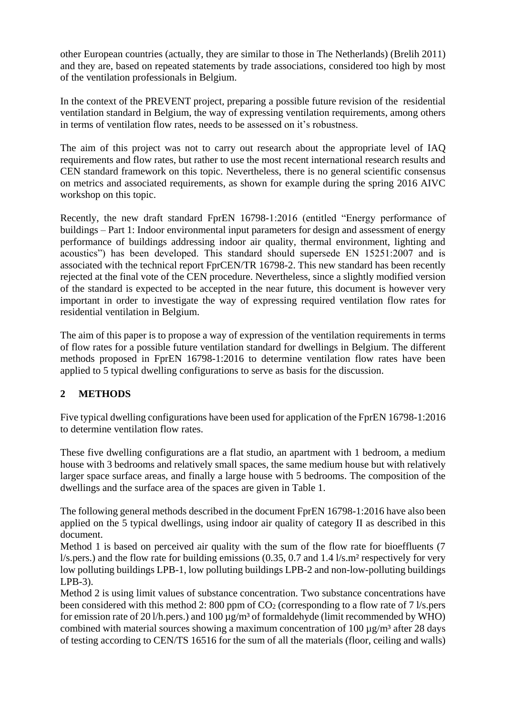other European countries (actually, they are similar to those in The Netherlands) (Brelih 2011) and they are, based on repeated statements by trade associations, considered too high by most of the ventilation professionals in Belgium.

In the context of the PREVENT project, preparing a possible future revision of the residential ventilation standard in Belgium, the way of expressing ventilation requirements, among others in terms of ventilation flow rates, needs to be assessed on it's robustness.

The aim of this project was not to carry out research about the appropriate level of IAQ requirements and flow rates, but rather to use the most recent international research results and CEN standard framework on this topic. Nevertheless, there is no general scientific consensus on metrics and associated requirements, as shown for example during the spring 2016 AIVC workshop on this topic.

Recently, the new draft standard FprEN 16798-1:2016 (entitled "Energy performance of buildings – Part 1: Indoor environmental input parameters for design and assessment of energy performance of buildings addressing indoor air quality, thermal environment, lighting and acoustics") has been developed. This standard should supersede EN 15251:2007 and is associated with the technical report FprCEN/TR 16798-2. This new standard has been recently rejected at the final vote of the CEN procedure. Nevertheless, since a slightly modified version of the standard is expected to be accepted in the near future, this document is however very important in order to investigate the way of expressing required ventilation flow rates for residential ventilation in Belgium.

The aim of this paper is to propose a way of expression of the ventilation requirements in terms of flow rates for a possible future ventilation standard for dwellings in Belgium. The different methods proposed in FprEN 16798-1:2016 to determine ventilation flow rates have been applied to 5 typical dwelling configurations to serve as basis for the discussion.

#### **2 METHODS**

Five typical dwelling configurations have been used for application of the FprEN 16798-1:2016 to determine ventilation flow rates.

These five dwelling configurations are a flat studio, an apartment with 1 bedroom, a medium house with 3 bedrooms and relatively small spaces, the same medium house but with relatively larger space surface areas, and finally a large house with 5 bedrooms. The composition of the dwellings and the surface area of the spaces are given in Table 1.

The following general methods described in the document FprEN 16798-1:2016 have also been applied on the 5 typical dwellings, using indoor air quality of category II as described in this document.

Method 1 is based on perceived air quality with the sum of the flow rate for bioeffluents (7 l/s.pers.) and the flow rate for building emissions  $(0.35, 0.7, 0.7, 1.4)$  l/s.m<sup>2</sup> respectively for very low polluting buildings LPB-1, low polluting buildings LPB-2 and non-low-polluting buildings LPB-3).

Method 2 is using limit values of substance concentration. Two substance concentrations have been considered with this method 2: 800 ppm of CO<sub>2</sub> (corresponding to a flow rate of 7 l/s.pers for emission rate of 20 l/h.pers.) and 100  $\mu$ g/m<sup>3</sup> of formaldehyde (limit recommended by WHO) combined with material sources showing a maximum concentration of 100  $\mu$ g/m<sup>3</sup> after 28 days of testing according to CEN/TS 16516 for the sum of all the materials (floor, ceiling and walls)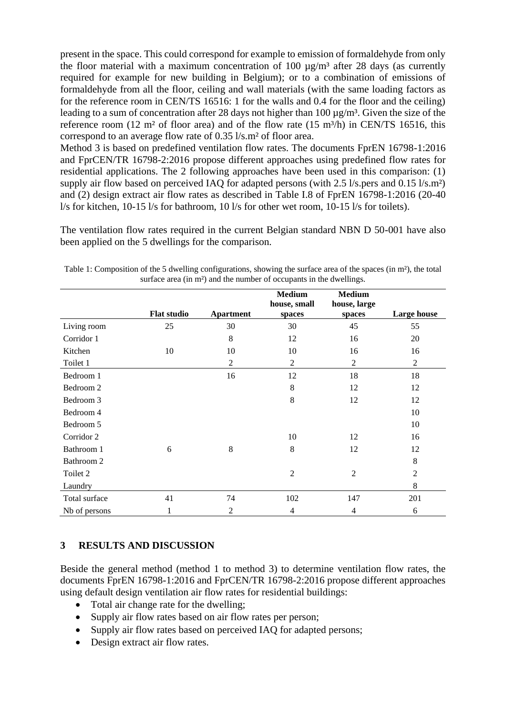present in the space. This could correspond for example to emission of formaldehyde from only the floor material with a maximum concentration of 100  $\mu$ g/m<sup>3</sup> after 28 days (as currently required for example for new building in Belgium); or to a combination of emissions of formaldehyde from all the floor, ceiling and wall materials (with the same loading factors as for the reference room in CEN/TS 16516: 1 for the walls and 0.4 for the floor and the ceiling) leading to a sum of concentration after 28 days not higher than 100  $\mu$ g/m<sup>3</sup>. Given the size of the reference room (12 m<sup>2</sup> of floor area) and of the flow rate (15 m<sup>3</sup>/h) in CEN/TS 16516, this correspond to an average flow rate of 0.35 l/s.m² of floor area.

Method 3 is based on predefined ventilation flow rates. The documents FprEN 16798-1:2016 and FprCEN/TR 16798-2:2016 propose different approaches using predefined flow rates for residential applications. The 2 following approaches have been used in this comparison: (1) supply air flow based on perceived IAQ for adapted persons (with 2.5 l/s.pers and 0.15 l/s.m<sup>2</sup>) and (2) design extract air flow rates as described in Table I.8 of FprEN 16798-1:2016 (20-40 l/s for kitchen, 10-15 l/s for bathroom, 10 l/s for other wet room, 10-15 l/s for toilets).

The ventilation flow rates required in the current Belgian standard NBN D 50-001 have also been applied on the 5 dwellings for the comparison.

|               |                    |           | <b>Medium</b><br>house, small | <b>Medium</b><br>house, large |                    |
|---------------|--------------------|-----------|-------------------------------|-------------------------------|--------------------|
|               | <b>Flat studio</b> | Apartment | spaces                        | spaces                        | <b>Large house</b> |
| Living room   | 25                 | 30        | 30                            | 45                            | 55                 |
| Corridor 1    |                    | 8         | 12                            | 16                            | 20                 |
| Kitchen       | 10                 | 10        | 10                            | 16                            | 16                 |
| Toilet 1      |                    | 2         | $\overline{2}$                | $\overline{2}$                | $\overline{2}$     |
| Bedroom 1     |                    | 16        | 12                            | 18                            | 18                 |
| Bedroom 2     |                    |           | 8                             | 12                            | 12                 |
| Bedroom 3     |                    |           | 8                             | 12                            | 12                 |
| Bedroom 4     |                    |           |                               |                               | 10                 |
| Bedroom 5     |                    |           |                               |                               | 10                 |
| Corridor 2    |                    |           | 10                            | 12                            | 16                 |
| Bathroom 1    | 6                  | 8         | 8                             | 12                            | 12                 |
| Bathroom 2    |                    |           |                               |                               | 8                  |
| Toilet 2      |                    |           | $\overline{2}$                | $\overline{2}$                | $\overline{2}$     |
| Laundry       |                    |           |                               |                               | 8                  |
| Total surface | 41                 | 74        | 102                           | 147                           | 201                |
| Nb of persons |                    | 2         | 4                             | 4                             | 6                  |

Table 1: Composition of the 5 dwelling configurations, showing the surface area of the spaces (in m<sup>2</sup>), the total surface area (in m<sup>2</sup>) and the number of occupants in the dwellings.

# <span id="page-2-0"></span>**3 RESULTS AND DISCUSSION**

Beside the general method (method 1 to method 3) to determine ventilation flow rates, the documents FprEN 16798-1:2016 and FprCEN/TR 16798-2:2016 propose different approaches using default design ventilation air flow rates for residential buildings:

- Total air change rate for the dwelling;
- Supply air flow rates based on air flow rates per person;
- Supply air flow rates based on perceived IAQ for adapted persons;
- Design extract air flow rates.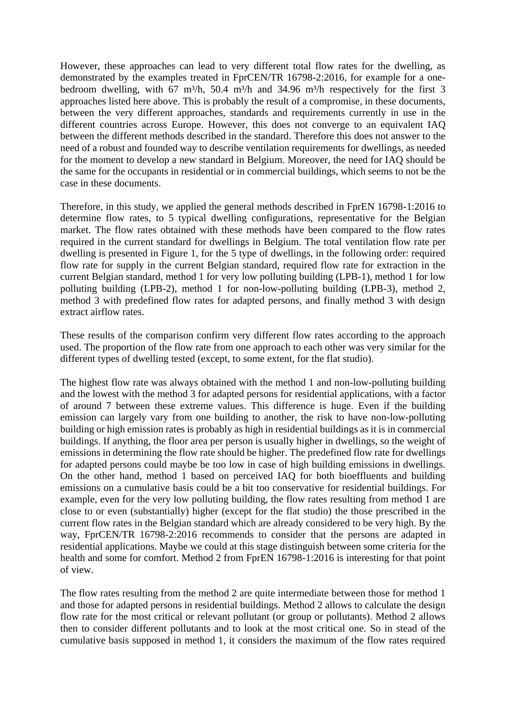However, these approaches can lead to very different total flow rates for the dwelling, as demonstrated by the examples treated in FprCEN/TR 16798-2:2016, for example for a onebedroom dwelling, with 67 m<sup>3</sup>/h, 50.4 m<sup>3</sup>/h and 34.96 m<sup>3</sup>/h respectively for the first 3 approaches listed here above. This is probably the result of a compromise, in these documents, between the very different approaches, standards and requirements currently in use in the different countries across Europe. However, this does not converge to an equivalent IAQ between the different methods described in the standard. Therefore this does not answer to the need of a robust and founded way to describe ventilation requirements for dwellings, as needed for the moment to develop a new standard in Belgium. Moreover, the need for IAQ should be the same for the occupants in residential or in commercial buildings, which seems to not be the case in these documents.

Therefore, in this study, we applied the general methods described in FprEN 16798-1:2016 to determine flow rates, to 5 typical dwelling configurations, representative for the Belgian market. The flow rates obtained with these methods have been compared to the flow rates required in the current standard for dwellings in Belgium. The total ventilation flow rate per dwelling is presented in Figure 1, for the 5 type of dwellings, in the following order: required flow rate for supply in the current Belgian standard, required flow rate for extraction in the current Belgian standard, method 1 for very low polluting building (LPB-1), method 1 for low polluting building (LPB-2), method 1 for non-low-polluting building (LPB-3), method 2, method 3 with predefined flow rates for adapted persons, and finally method 3 with design extract airflow rates.

These results of the comparison confirm very different flow rates according to the approach used. The proportion of the flow rate from one approach to each other was very similar for the different types of dwelling tested (except, to some extent, for the flat studio).

The highest flow rate was always obtained with the method 1 and non-low-polluting building and the lowest with the method 3 for adapted persons for residential applications, with a factor of around 7 between these extreme values. This difference is huge. Even if the building emission can largely vary from one building to another, the risk to have non-low-polluting building or high emission rates is probably as high in residential buildings as it is in commercial buildings. If anything, the floor area per person is usually higher in dwellings, so the weight of emissions in determining the flow rate should be higher. The predefined flow rate for dwellings for adapted persons could maybe be too low in case of high building emissions in dwellings. On the other hand, method 1 based on perceived IAQ for both bioeffluents and building emissions on a cumulative basis could be a bit too conservative for residential buildings. For example, even for the very low polluting building, the flow rates resulting from method 1 are close to or even (substantially) higher (except for the flat studio) the those prescribed in the current flow rates in the Belgian standard which are already considered to be very high. By the way, FprCEN/TR 16798-2:2016 recommends to consider that the persons are adapted in residential applications. Maybe we could at this stage distinguish between some criteria for the health and some for comfort. Method 2 from FprEN 16798-1:2016 is interesting for that point of view.

The flow rates resulting from the method 2 are quite intermediate between those for method 1 and those for adapted persons in residential buildings. Method 2 allows to calculate the design flow rate for the most critical or relevant pollutant (or group or pollutants). Method 2 allows then to consider different pollutants and to look at the most critical one. So in stead of the cumulative basis supposed in method 1, it considers the maximum of the flow rates required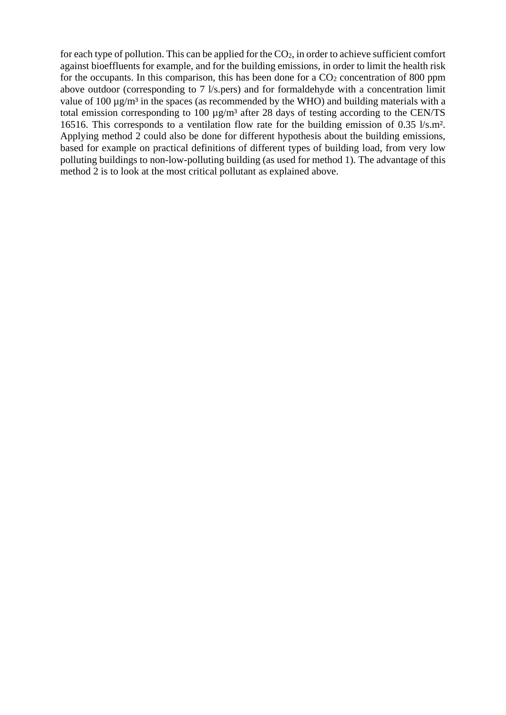for each type of pollution. This can be applied for the CO2, in order to achieve sufficient comfort against bioeffluents for example, and for the building emissions, in order to limit the health risk for the occupants. In this comparison, this has been done for a  $CO<sub>2</sub>$  concentration of 800 ppm above outdoor (corresponding to 7 l/s.pers) and for formaldehyde with a concentration limit value of 100  $\mu$ g/m<sup>3</sup> in the spaces (as recommended by the WHO) and building materials with a total emission corresponding to 100 µg/m³ after 28 days of testing according to the CEN/TS 16516. This corresponds to a ventilation flow rate for the building emission of 0.35 l/s.m². Applying method 2 could also be done for different hypothesis about the building emissions, based for example on practical definitions of different types of building load, from very low polluting buildings to non-low-polluting building (as used for method 1). The advantage of this method 2 is to look at the most critical pollutant as explained above.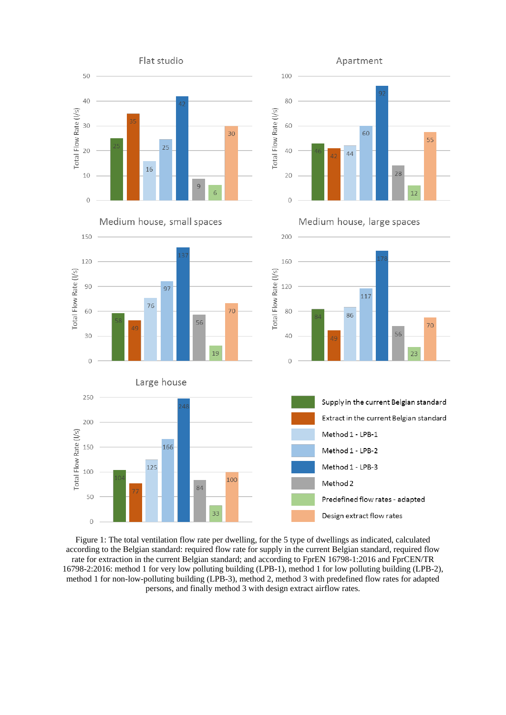

Figure 1: The total ventilation flow rate per dwelling, for the 5 type of dwellings as indicated, calculated according to the Belgian standard: required flow rate for supply in the current Belgian standard, required flow rate for extraction in the current Belgian standard; and according to FprEN 16798-1:2016 and FprCEN/TR 16798-2:2016: method 1 for very low polluting building (LPB-1), method 1 for low polluting building (LPB-2), method 1 for non-low-polluting building (LPB-3), method 2, method 3 with predefined flow rates for adapted persons, and finally method 3 with design extract airflow rates.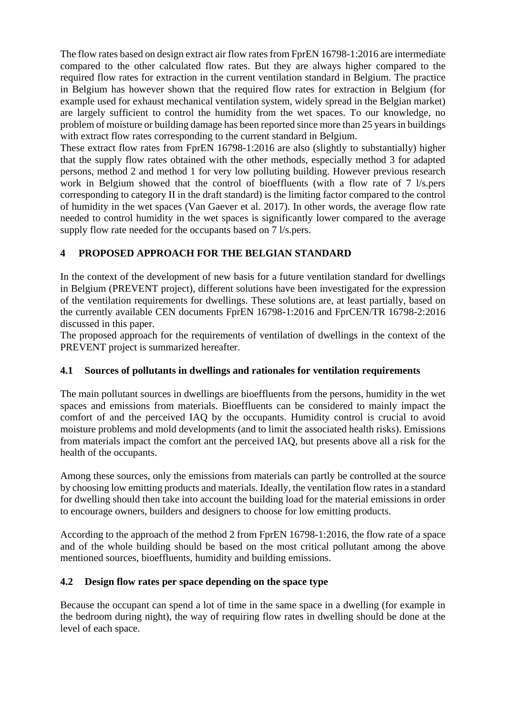The flow rates based on design extract air flow rates from FprEN 16798-1:2016 are intermediate compared to the other calculated flow rates. But they are always higher compared to the required flow rates for extraction in the current ventilation standard in Belgium. The practice in Belgium has however shown that the required flow rates for extraction in Belgium (for example used for exhaust mechanical ventilation system, widely spread in the Belgian market) are largely sufficient to control the humidity from the wet spaces. To our knowledge, no problem of moisture or building damage has been reported since more than 25 years in buildings with extract flow rates corresponding to the current standard in Belgium.

These extract flow rates from FprEN 16798-1:2016 are also (slightly to substantially) higher that the supply flow rates obtained with the other methods, especially method 3 for adapted persons, method 2 and method 1 for very low polluting building. However previous research work in Belgium showed that the control of bioeffluents (with a flow rate of 7 l/s.pers corresponding to category II in the draft standard) is the limiting factor compared to the control of humidity in the wet spaces (Van Gaever et al. 2017). In other words, the average flow rate needed to control humidity in the wet spaces is significantly lower compared to the average supply flow rate needed for the occupants based on 7 l/s.pers.

# **4 PROPOSED APPROACH FOR THE BELGIAN STANDARD**

In the context of the development of new basis for a future ventilation standard for dwellings in Belgium (PREVENT project), different solutions have been investigated for the expression of the ventilation requirements for dwellings. These solutions are, at least partially, based on the currently available CEN documents FprEN 16798-1:2016 and FprCEN/TR 16798-2:2016 discussed in this paper.

The proposed approach for the requirements of ventilation of dwellings in the context of the PREVENT project is summarized hereafter.

# <span id="page-6-0"></span>**4.1 Sources of pollutants in dwellings and rationales for ventilation requirements**

The main pollutant sources in dwellings are bioeffluents from the persons, humidity in the wet spaces and emissions from materials. Bioeffluents can be considered to mainly impact the comfort of and the perceived IAQ by the occupants. Humidity control is crucial to avoid moisture problems and mold developments (and to limit the associated health risks). Emissions from materials impact the comfort ant the perceived IAQ, but presents above all a risk for the health of the occupants.

Among these sources, only the emissions from materials can partly be controlled at the source by choosing low emitting products and materials. Ideally, the ventilation flow rates in a standard for dwelling should then take into account the building load for the material emissions in order to encourage owners, builders and designers to choose for low emitting products.

According to the approach of the method 2 from FprEN 16798-1:2016, the flow rate of a space and of the whole building should be based on the most critical pollutant among the above mentioned sources, bioeffluents, humidity and building emissions.

# <span id="page-6-1"></span>**4.2 Design flow rates per space depending on the space type**

Because the occupant can spend a lot of time in the same space in a dwelling (for example in the bedroom during night), the way of requiring flow rates in dwelling should be done at the level of each space.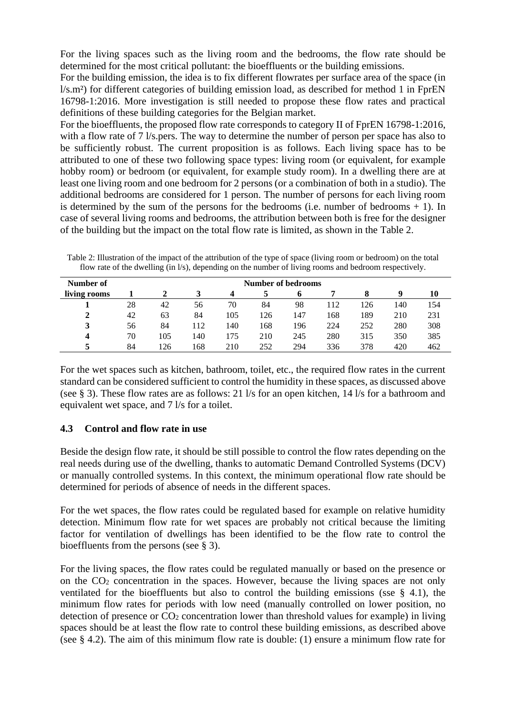For the living spaces such as the living room and the bedrooms, the flow rate should be determined for the most critical pollutant: the bioeffluents or the building emissions.

For the building emission, the idea is to fix different flowrates per surface area of the space (in l/s.m²) for different categories of building emission load, as described for method 1 in FprEN 16798-1:2016. More investigation is still needed to propose these flow rates and practical definitions of these building categories for the Belgian market.

For the bioeffluents, the proposed flow rate corresponds to category II of FprEN 16798-1:2016, with a flow rate of 7 l/s.pers. The way to determine the number of person per space has also to be sufficiently robust. The current proposition is as follows. Each living space has to be attributed to one of these two following space types: living room (or equivalent, for example hobby room) or bedroom (or equivalent, for example study room). In a dwelling there are at least one living room and one bedroom for 2 persons (or a combination of both in a studio). The additional bedrooms are considered for 1 person. The number of persons for each living room is determined by the sum of the persons for the bedrooms (i.e. number of bedrooms  $+ 1$ ). In case of several living rooms and bedrooms, the attribution between both is free for the designer of the building but the impact on the total flow rate is limited, as shown in the Table 2.

| Number of    | <b>Number of bedrooms</b> |     |     |     |     |     |     |     |     |     |  |
|--------------|---------------------------|-----|-----|-----|-----|-----|-----|-----|-----|-----|--|
| living rooms |                           |     |     |     |     |     |     |     |     | 10  |  |
|              | 28                        | 42  | 56  | 70  | 84  | 98  | 12  | 126 | 140 | 154 |  |
|              | 42                        | 63  | 84  | 105 | 126 | 147 | 168 | 189 | 210 | 231 |  |
| 3            | 56                        | 84  | 112 | 140 | 168 | 196 | 224 | 252 | 280 | 308 |  |
| Δ            | 70                        | 105 | 140 | 175 | 210 | 245 | 280 | 315 | 350 | 385 |  |
|              | 84                        | 26  | 168 | 210 | 252 | 294 | 336 | 378 | 420 | 462 |  |

Table 2: Illustration of the impact of the attribution of the type of space (living room or bedroom) on the total flow rate of the dwelling (in l/s), depending on the number of living rooms and bedroom respectively.

For the wet spaces such as kitchen, bathroom, toilet, etc., the required flow rates in the current standard can be considered sufficient to control the humidity in these spaces, as discussed above (see § [3\)](#page-2-0). These flow rates are as follows: 21 l/s for an open kitchen, 14 l/s for a bathroom and equivalent wet space, and 7 l/s for a toilet.

#### **4.3 Control and flow rate in use**

Beside the design flow rate, it should be still possible to control the flow rates depending on the real needs during use of the dwelling, thanks to automatic Demand Controlled Systems (DCV) or manually controlled systems. In this context, the minimum operational flow rate should be determined for periods of absence of needs in the different spaces.

For the wet spaces, the flow rates could be regulated based for example on relative humidity detection. Minimum flow rate for wet spaces are probably not critical because the limiting factor for ventilation of dwellings has been identified to be the flow rate to control the bioeffluents from the persons (see § [3\)](#page-2-0).

For the living spaces, the flow rates could be regulated manually or based on the presence or on the CO<sup>2</sup> concentration in the spaces. However, because the living spaces are not only ventilated for the bioeffluents but also to control the building emissions (sse  $\S$  [4.1\)](#page-6-0), the minimum flow rates for periods with low need (manually controlled on lower position, no detection of presence or  $CO<sub>2</sub>$  concentration lower than threshold values for example) in living spaces should be at least the flow rate to control these building emissions, as described above (see § [4.2\)](#page-6-1). The aim of this minimum flow rate is double: (1) ensure a minimum flow rate for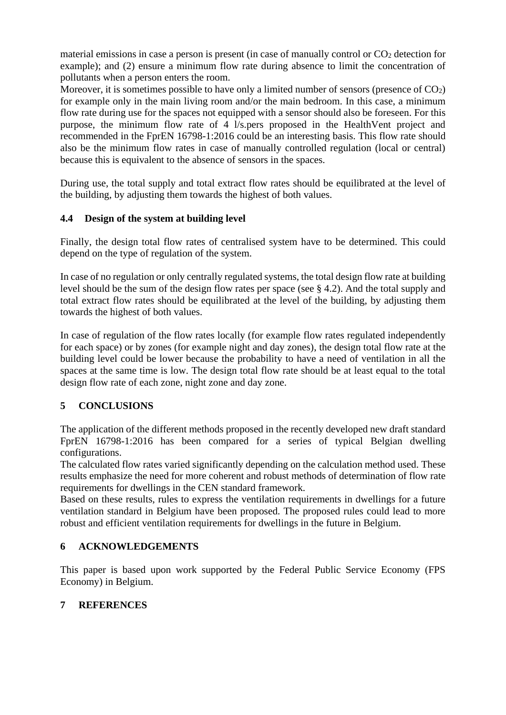material emissions in case a person is present (in case of manually control or CO<sup>2</sup> detection for example); and (2) ensure a minimum flow rate during absence to limit the concentration of pollutants when a person enters the room.

Moreover, it is sometimes possible to have only a limited number of sensors (presence of  $CO<sub>2</sub>$ ) for example only in the main living room and/or the main bedroom. In this case, a minimum flow rate during use for the spaces not equipped with a sensor should also be foreseen. For this purpose, the minimum flow rate of 4 l/s.pers proposed in the HealthVent project and recommended in the FprEN 16798-1:2016 could be an interesting basis. This flow rate should also be the minimum flow rates in case of manually controlled regulation (local or central) because this is equivalent to the absence of sensors in the spaces.

During use, the total supply and total extract flow rates should be equilibrated at the level of the building, by adjusting them towards the highest of both values.

#### **4.4 Design of the system at building level**

Finally, the design total flow rates of centralised system have to be determined. This could depend on the type of regulation of the system.

In case of no regulation or only centrally regulated systems, the total design flow rate at building level should be the sum of the design flow rates per space (see § [4.2\)](#page-6-1). And the total supply and total extract flow rates should be equilibrated at the level of the building, by adjusting them towards the highest of both values.

In case of regulation of the flow rates locally (for example flow rates regulated independently for each space) or by zones (for example night and day zones), the design total flow rate at the building level could be lower because the probability to have a need of ventilation in all the spaces at the same time is low. The design total flow rate should be at least equal to the total design flow rate of each zone, night zone and day zone.

# **5 CONCLUSIONS**

The application of the different methods proposed in the recently developed new draft standard FprEN 16798-1:2016 has been compared for a series of typical Belgian dwelling configurations.

The calculated flow rates varied significantly depending on the calculation method used. These results emphasize the need for more coherent and robust methods of determination of flow rate requirements for dwellings in the CEN standard framework.

Based on these results, rules to express the ventilation requirements in dwellings for a future ventilation standard in Belgium have been proposed. The proposed rules could lead to more robust and efficient ventilation requirements for dwellings in the future in Belgium.

#### **6 ACKNOWLEDGEMENTS**

This paper is based upon work supported by the Federal Public Service Economy (FPS Economy) in Belgium.

# **7 REFERENCES**